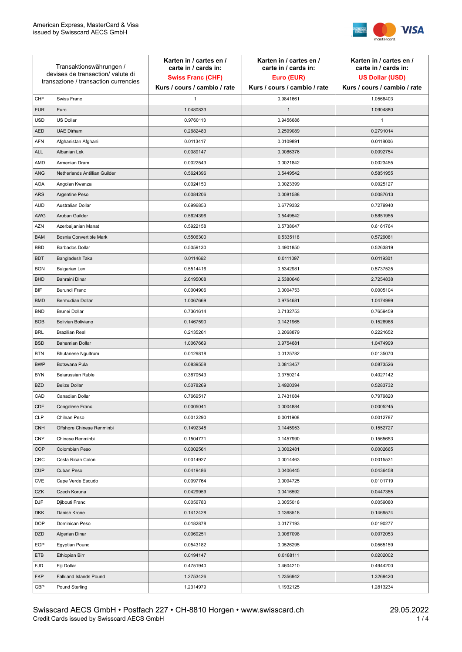

| Transaktionswährungen /<br>devises de transaction/valute di<br>transazione / transaction currencies |                               | Karten in / cartes en /<br>carte in / cards in:<br><b>Swiss Franc (CHF)</b> | Karten in / cartes en /<br>carte in / cards in:<br>Euro (EUR) | Karten in / cartes en /<br>carte in / cards in:<br><b>US Dollar (USD)</b> |
|-----------------------------------------------------------------------------------------------------|-------------------------------|-----------------------------------------------------------------------------|---------------------------------------------------------------|---------------------------------------------------------------------------|
|                                                                                                     |                               | Kurs / cours / cambio / rate                                                | Kurs / cours / cambio / rate                                  | Kurs / cours / cambio / rate                                              |
| CHF                                                                                                 | Swiss Franc                   | 1                                                                           | 0.9841661                                                     | 1.0568403                                                                 |
| <b>EUR</b>                                                                                          | Euro                          | 1.0480833                                                                   | $\mathbf{1}$                                                  | 1.0904880                                                                 |
| <b>USD</b>                                                                                          | <b>US Dollar</b>              | 0.9760113                                                                   | 0.9456686                                                     | $\mathbf{1}$                                                              |
| <b>AED</b>                                                                                          | <b>UAE Dirham</b>             | 0.2682483                                                                   | 0.2599089                                                     | 0.2791014                                                                 |
| <b>AFN</b>                                                                                          | Afghanistan Afghani           | 0.0113417                                                                   | 0.0109891                                                     | 0.0118006                                                                 |
| ALL                                                                                                 | Albanian Lek                  | 0.0089147                                                                   | 0.0086376                                                     | 0.0092754                                                                 |
| AMD                                                                                                 | Armenian Dram                 | 0.0022543                                                                   | 0.0021842                                                     | 0.0023455                                                                 |
| ANG                                                                                                 | Netherlands Antillian Guilder | 0.5624396                                                                   | 0.5449542                                                     | 0.5851955                                                                 |
| <b>AOA</b>                                                                                          | Angolan Kwanza                | 0.0024150                                                                   | 0.0023399                                                     | 0.0025127                                                                 |
| ARS                                                                                                 | Argentine Peso                | 0.0084206                                                                   | 0.0081588                                                     | 0.0087613                                                                 |
| <b>AUD</b>                                                                                          | Australian Dollar             | 0.6996853                                                                   | 0.6779332                                                     | 0.7279940                                                                 |
| AWG                                                                                                 | Aruban Guilder                | 0.5624396                                                                   | 0.5449542                                                     | 0.5851955                                                                 |
| AZN                                                                                                 | Azerbaijanian Manat           | 0.5922158                                                                   | 0.5738047                                                     | 0.6161764                                                                 |
| <b>BAM</b>                                                                                          | Bosnia Convertible Mark       | 0.5506300                                                                   | 0.5335118                                                     | 0.5729081                                                                 |
| <b>BBD</b>                                                                                          | <b>Barbados Dollar</b>        | 0.5059130                                                                   | 0.4901850                                                     | 0.5263819                                                                 |
| <b>BDT</b>                                                                                          | Bangladesh Taka               | 0.0114662                                                                   | 0.0111097                                                     | 0.0119301                                                                 |
| <b>BGN</b>                                                                                          | <b>Bulgarian Lev</b>          | 0.5514416                                                                   | 0.5342981                                                     | 0.5737525                                                                 |
| <b>BHD</b>                                                                                          | Bahraini Dinar                | 2.6195008                                                                   | 2.5380646                                                     | 2.7254838                                                                 |
| BIF                                                                                                 | Burundi Franc                 | 0.0004906                                                                   | 0.0004753                                                     | 0.0005104                                                                 |
| <b>BMD</b>                                                                                          | Bermudian Dollar              | 1.0067669                                                                   | 0.9754681                                                     | 1.0474999                                                                 |
| <b>BND</b>                                                                                          | <b>Brunei Dollar</b>          | 0.7361614                                                                   | 0.7132753                                                     | 0.7659459                                                                 |
| <b>BOB</b>                                                                                          | Bolivian Boliviano            | 0.1467590                                                                   | 0.1421965                                                     | 0.1526968                                                                 |
| <b>BRL</b>                                                                                          | <b>Brazilian Real</b>         | 0.2135261                                                                   | 0.2068879                                                     | 0.2221652                                                                 |
| <b>BSD</b>                                                                                          | <b>Bahamian Dollar</b>        | 1.0067669                                                                   | 0.9754681                                                     | 1.0474999                                                                 |
| <b>BTN</b>                                                                                          | <b>Bhutanese Ngultrum</b>     | 0.0129818                                                                   | 0.0125782                                                     | 0.0135070                                                                 |
| <b>BWP</b>                                                                                          | Botswana Pula                 | 0.0839558                                                                   | 0.0813457                                                     | 0.0873526                                                                 |
| <b>BYN</b>                                                                                          | Belarussian Ruble             | 0.3870543                                                                   | 0.3750214                                                     | 0.4027142                                                                 |
| <b>BZD</b>                                                                                          | <b>Belize Dollar</b>          | 0.5078269                                                                   | 0.4920394                                                     | 0.5283732                                                                 |
| CAD                                                                                                 | Canadian Dollar               | 0.7669517                                                                   | 0.7431084                                                     | 0.7979820                                                                 |
| CDF                                                                                                 | Congolese Franc               | 0.0005041                                                                   | 0.0004884                                                     | 0.0005245                                                                 |
| <b>CLP</b>                                                                                          | Chilean Peso                  | 0.0012290                                                                   | 0.0011908                                                     | 0.0012787                                                                 |
| <b>CNH</b>                                                                                          | Offshore Chinese Renminbi     | 0.1492348                                                                   | 0.1445953                                                     | 0.1552727                                                                 |
| <b>CNY</b>                                                                                          | Chinese Renminbi              | 0.1504771                                                                   | 0.1457990                                                     | 0.1565653                                                                 |
| <b>COP</b>                                                                                          | Colombian Peso                | 0.0002561                                                                   | 0.0002481                                                     | 0.0002665                                                                 |
| CRC                                                                                                 | Costa Rican Colon             | 0.0014927                                                                   | 0.0014463                                                     | 0.0015531                                                                 |
| <b>CUP</b>                                                                                          | Cuban Peso                    | 0.0419486                                                                   | 0.0406445                                                     | 0.0436458                                                                 |
| CVE                                                                                                 | Cape Verde Escudo             | 0.0097764                                                                   | 0.0094725                                                     | 0.0101719                                                                 |
| CZK                                                                                                 | Czech Koruna                  | 0.0429959                                                                   | 0.0416592                                                     | 0.0447355                                                                 |
| <b>DJF</b>                                                                                          | Djibouti Franc                | 0.0056783                                                                   | 0.0055018                                                     | 0.0059080                                                                 |
| <b>DKK</b>                                                                                          | Danish Krone                  | 0.1412428                                                                   | 0.1368518                                                     | 0.1469574                                                                 |
| <b>DOP</b>                                                                                          | Dominican Peso                | 0.0182878                                                                   | 0.0177193                                                     | 0.0190277                                                                 |
| <b>DZD</b>                                                                                          | Algerian Dinar                | 0.0069251                                                                   | 0.0067098                                                     | 0.0072053                                                                 |
| EGP                                                                                                 | Egyptian Pound                | 0.0543182                                                                   | 0.0526295                                                     | 0.0565159                                                                 |
| ETB                                                                                                 | Ethiopian Birr                | 0.0194147                                                                   | 0.0188111                                                     | 0.0202002                                                                 |
| <b>FJD</b>                                                                                          | Fiji Dollar                   | 0.4751940                                                                   | 0.4604210                                                     | 0.4944200                                                                 |
| <b>FKP</b>                                                                                          | Falkland Islands Pound        | 1.2753426                                                                   | 1.2356942                                                     | 1.3269420                                                                 |
| GBP                                                                                                 | Pound Sterling                | 1.2314979                                                                   | 1.1932125                                                     | 1.2813234                                                                 |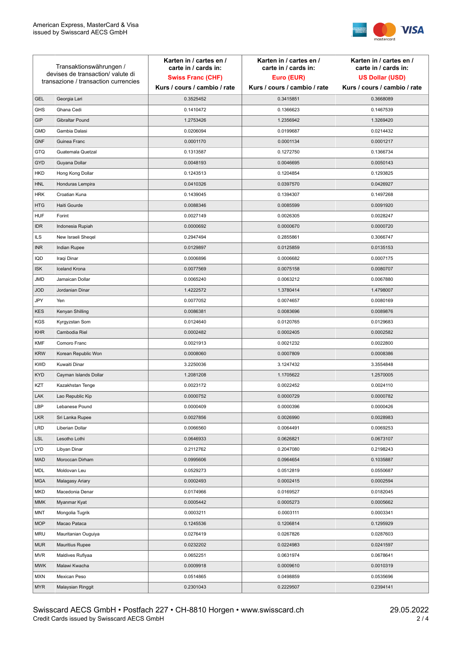

| Transaktionswährungen /<br>devises de transaction/valute di<br>transazione / transaction currencies |                        | Karten in / cartes en /<br>carte in / cards in: | Karten in / cartes en /<br>carte in / cards in: | Karten in / cartes en /<br>carte in / cards in: |
|-----------------------------------------------------------------------------------------------------|------------------------|-------------------------------------------------|-------------------------------------------------|-------------------------------------------------|
|                                                                                                     |                        | <b>Swiss Franc (CHF)</b>                        | Euro (EUR)                                      | <b>US Dollar (USD)</b>                          |
|                                                                                                     |                        | Kurs / cours / cambio / rate                    | Kurs / cours / cambio / rate                    | Kurs / cours / cambio / rate                    |
| <b>GEL</b>                                                                                          | Georgia Lari           | 0.3525452                                       | 0.3415851                                       | 0.3668089                                       |
| <b>GHS</b>                                                                                          | Ghana Cedi             | 0.1410472                                       | 0.1366623                                       | 0.1467539                                       |
| GIP                                                                                                 | Gibraltar Pound        | 1.2753426                                       | 1.2356942                                       | 1.3269420                                       |
| <b>GMD</b>                                                                                          | Gambia Dalasi          | 0.0206094                                       | 0.0199687                                       | 0.0214432                                       |
| <b>GNF</b>                                                                                          | Guinea Franc           | 0.0001170                                       | 0.0001134                                       | 0.0001217                                       |
| <b>GTQ</b>                                                                                          | Guatemala Quetzal      | 0.1313587                                       | 0.1272750                                       | 0.1366734                                       |
| GYD                                                                                                 | Guyana Dollar          | 0.0048193                                       | 0.0046695                                       | 0.0050143                                       |
| <b>HKD</b>                                                                                          | Hong Kong Dollar       | 0.1243513                                       | 0.1204854                                       | 0.1293825                                       |
| <b>HNL</b>                                                                                          | Honduras Lempira       | 0.0410326                                       | 0.0397570                                       | 0.0426927                                       |
| <b>HRK</b>                                                                                          | Croatian Kuna          | 0.1439045                                       | 0.1394307                                       | 0.1497268                                       |
| <b>HTG</b>                                                                                          | Haiti Gourde           | 0.0088346                                       | 0.0085599                                       | 0.0091920                                       |
| <b>HUF</b>                                                                                          | Forint                 | 0.0027149                                       | 0.0026305                                       | 0.0028247                                       |
| <b>IDR</b>                                                                                          | Indonesia Rupiah       | 0.0000692                                       | 0.0000670                                       | 0.0000720                                       |
| ILS                                                                                                 | New Israeli Sheqel     | 0.2947494                                       | 0.2855861                                       | 0.3066747                                       |
| <b>INR</b>                                                                                          | Indian Rupee           | 0.0129897                                       | 0.0125859                                       | 0.0135153                                       |
| IQD                                                                                                 | Iraqi Dinar            | 0.0006896                                       | 0.0006682                                       | 0.0007175                                       |
| <b>ISK</b>                                                                                          | <b>Iceland Krona</b>   | 0.0077569                                       | 0.0075158                                       | 0.0080707                                       |
| JMD                                                                                                 | Jamaican Dollar        | 0.0065240                                       | 0.0063212                                       | 0.0067880                                       |
| <b>JOD</b>                                                                                          | Jordanian Dinar        | 1.4222572                                       | 1.3780414                                       | 1.4798007                                       |
| JPY                                                                                                 | Yen                    | 0.0077052                                       | 0.0074657                                       | 0.0080169                                       |
| <b>KES</b>                                                                                          | Kenyan Shilling        | 0.0086381                                       | 0.0083696                                       | 0.0089876                                       |
| <b>KGS</b>                                                                                          | Kyrgyzstan Som         | 0.0124640                                       | 0.0120765                                       | 0.0129683                                       |
| <b>KHR</b>                                                                                          | Cambodia Riel          | 0.0002482                                       | 0.0002405                                       | 0.0002582                                       |
| <b>KMF</b>                                                                                          | Comoro Franc           | 0.0021913                                       | 0.0021232                                       | 0.0022800                                       |
| <b>KRW</b>                                                                                          | Korean Republic Won    | 0.0008060                                       | 0.0007809                                       | 0.0008386                                       |
| <b>KWD</b>                                                                                          | Kuwaiti Dinar          | 3.2250036                                       | 3.1247432                                       | 3.3554848                                       |
| <b>KYD</b>                                                                                          | Cayman Islands Dollar  | 1.2081208                                       | 1.1705622                                       | 1.2570005                                       |
| KZT                                                                                                 | Kazakhstan Tenge       | 0.0023172                                       | 0.0022452                                       | 0.0024110                                       |
| LAK                                                                                                 | Lao Republic Kip       | 0.0000752                                       | 0.0000729                                       | 0.0000782                                       |
| LBP                                                                                                 | Lebanese Pound         | 0.0000409                                       | 0.0000396                                       | 0.0000426                                       |
| <b>LKR</b>                                                                                          | Sri Lanka Rupee        | 0.0027856                                       | 0.0026990                                       | 0.0028983                                       |
| <b>LRD</b>                                                                                          | Liberian Dollar        | 0.0066560                                       | 0.0064491                                       | 0.0069253                                       |
| <b>LSL</b>                                                                                          | Lesotho Lothi          | 0.0646933                                       | 0.0626821                                       | 0.0673107                                       |
| LYD                                                                                                 | Libyan Dinar           | 0.2112762                                       | 0.2047080                                       | 0.2198243                                       |
| <b>MAD</b>                                                                                          | Moroccan Dirham        | 0.0995606                                       | 0.0964654                                       | 0.1035887                                       |
| MDL                                                                                                 | Moldovan Leu           | 0.0529273                                       | 0.0512819                                       | 0.0550687                                       |
| <b>MGA</b>                                                                                          | Malagasy Ariary        | 0.0002493                                       | 0.0002415                                       | 0.0002594                                       |
| <b>MKD</b>                                                                                          | Macedonia Denar        | 0.0174966                                       | 0.0169527                                       | 0.0182045                                       |
| MMK                                                                                                 | Myanmar Kyat           | 0.0005442                                       | 0.0005273                                       | 0.0005662                                       |
| MNT                                                                                                 | Mongolia Tugrik        | 0.0003211                                       | 0.0003111                                       | 0.0003341                                       |
| <b>MOP</b>                                                                                          | Macao Pataca           | 0.1245536                                       | 0.1206814                                       | 0.1295929                                       |
| <b>MRU</b>                                                                                          | Mauritanian Ouguiya    | 0.0276419                                       | 0.0267826                                       | 0.0287603                                       |
| <b>MUR</b>                                                                                          | <b>Mauritius Rupee</b> | 0.0232202                                       | 0.0224983                                       | 0.0241597                                       |
| <b>MVR</b>                                                                                          | Maldives Rufiyaa       | 0.0652251                                       | 0.0631974                                       | 0.0678641                                       |
| <b>MWK</b>                                                                                          | Malawi Kwacha          | 0.0009918                                       | 0.0009610                                       | 0.0010319                                       |
| <b>MXN</b>                                                                                          | Mexican Peso           | 0.0514865                                       | 0.0498859                                       | 0.0535696                                       |
| <b>MYR</b>                                                                                          | Malaysian Ringgit      | 0.2301043                                       | 0.2229507                                       | 0.2394141                                       |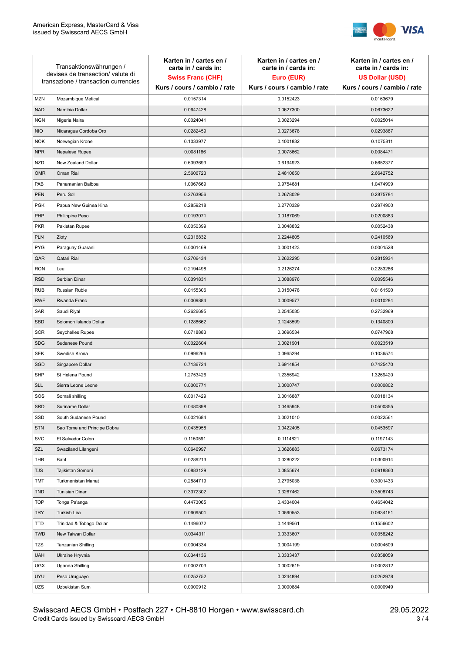

| Transaktionswährungen /<br>devises de transaction/valute di<br>transazione / transaction currencies |                             | Karten in / cartes en /<br>carte in / cards in:<br><b>Swiss Franc (CHF)</b> | Karten in / cartes en /<br>carte in / cards in:<br>Euro (EUR) | Karten in / cartes en /<br>carte in / cards in:<br><b>US Dollar (USD)</b> |
|-----------------------------------------------------------------------------------------------------|-----------------------------|-----------------------------------------------------------------------------|---------------------------------------------------------------|---------------------------------------------------------------------------|
|                                                                                                     |                             | Kurs / cours / cambio / rate                                                | Kurs / cours / cambio / rate                                  | Kurs / cours / cambio / rate                                              |
| <b>MZN</b>                                                                                          | Mozambique Metical          | 0.0157314                                                                   | 0.0152423                                                     | 0.0163679                                                                 |
| <b>NAD</b>                                                                                          | Namibia Dollar              | 0.0647428                                                                   | 0.0627300                                                     | 0.0673622                                                                 |
| <b>NGN</b>                                                                                          | Nigeria Naira               | 0.0024041                                                                   | 0.0023294                                                     | 0.0025014                                                                 |
| <b>NIO</b>                                                                                          | Nicaragua Cordoba Oro       | 0.0282459                                                                   | 0.0273678                                                     | 0.0293887                                                                 |
| <b>NOK</b>                                                                                          | Norwegian Krone             | 0.1033977                                                                   | 0.1001832                                                     | 0.1075811                                                                 |
| <b>NPR</b>                                                                                          | Nepalese Rupee              | 0.0081186                                                                   | 0.0078662                                                     | 0.0084471                                                                 |
| <b>NZD</b>                                                                                          | New Zealand Dollar          | 0.6393693                                                                   | 0.6194923                                                     | 0.6652377                                                                 |
| <b>OMR</b>                                                                                          | Oman Rial                   | 2.5606723                                                                   | 2.4810650                                                     | 2.6642752                                                                 |
| PAB                                                                                                 | Panamanian Balboa           | 1.0067669                                                                   | 0.9754681                                                     | 1.0474999                                                                 |
| <b>PEN</b>                                                                                          | Peru Sol                    | 0.2763956                                                                   | 0.2678029                                                     | 0.2875784                                                                 |
| <b>PGK</b>                                                                                          | Papua New Guinea Kina       | 0.2859218                                                                   | 0.2770329                                                     | 0.2974900                                                                 |
| PHP                                                                                                 | Philippine Peso             | 0.0193071                                                                   | 0.0187069                                                     | 0.0200883                                                                 |
| <b>PKR</b>                                                                                          | Pakistan Rupee              | 0.0050399                                                                   | 0.0048832                                                     | 0.0052438                                                                 |
| <b>PLN</b>                                                                                          | Zloty                       | 0.2316832                                                                   | 0.2244805                                                     | 0.2410569                                                                 |
| <b>PYG</b>                                                                                          | Paraguay Guarani            | 0.0001469                                                                   | 0.0001423                                                     | 0.0001528                                                                 |
| QAR                                                                                                 | Qatari Rial                 | 0.2706434                                                                   | 0.2622295                                                     | 0.2815934                                                                 |
| <b>RON</b>                                                                                          | Leu                         | 0.2194498                                                                   | 0.2126274                                                     | 0.2283286                                                                 |
| <b>RSD</b>                                                                                          | Serbian Dinar               | 0.0091831                                                                   | 0.0088976                                                     | 0.0095546                                                                 |
| <b>RUB</b>                                                                                          | Russian Ruble               | 0.0155306                                                                   | 0.0150478                                                     | 0.0161590                                                                 |
| <b>RWF</b>                                                                                          | Rwanda Franc                | 0.0009884                                                                   | 0.0009577                                                     | 0.0010284                                                                 |
| SAR                                                                                                 | Saudi Riyal                 | 0.2626695                                                                   | 0.2545035                                                     | 0.2732969                                                                 |
| <b>SBD</b>                                                                                          | Solomon Islands Dollar      | 0.1288662                                                                   | 0.1248599                                                     | 0.1340800                                                                 |
| <b>SCR</b>                                                                                          | Seychelles Rupee            | 0.0718883                                                                   | 0.0696534                                                     | 0.0747968                                                                 |
| <b>SDG</b>                                                                                          | Sudanese Pound              | 0.0022604                                                                   | 0.0021901                                                     | 0.0023519                                                                 |
| SEK                                                                                                 | Swedish Krona               | 0.0996266                                                                   | 0.0965294                                                     | 0.1036574                                                                 |
| SGD                                                                                                 | Singapore Dollar            | 0.7136724                                                                   | 0.6914854                                                     | 0.7425470                                                                 |
| <b>SHP</b>                                                                                          | St Helena Pound             | 1.2753426                                                                   | 1.2356942                                                     | 1.3269420                                                                 |
| <b>SLL</b>                                                                                          | Sierra Leone Leone          | 0.0000771                                                                   | 0.0000747                                                     | 0.0000802                                                                 |
| SOS                                                                                                 | Somali shilling             | 0.0017429                                                                   | 0.0016887                                                     | 0.0018134                                                                 |
| <b>SRD</b>                                                                                          | Suriname Dollar             | 0.0480898                                                                   | 0.0465948                                                     | 0.0500355                                                                 |
| SSD                                                                                                 | South Sudanese Pound        | 0.0021684                                                                   | 0.0021010                                                     | 0.0022561                                                                 |
| <b>STN</b>                                                                                          | Sao Tome and Principe Dobra | 0.0435958                                                                   | 0.0422405                                                     | 0.0453597                                                                 |
| <b>SVC</b>                                                                                          | El Salvador Colon           | 0.1150591                                                                   | 0.1114821                                                     | 0.1197143                                                                 |
| <b>SZL</b>                                                                                          | Swaziland Lilangeni         | 0.0646997                                                                   | 0.0626883                                                     | 0.0673174                                                                 |
| THB                                                                                                 | Baht                        | 0.0289213                                                                   | 0.0280222                                                     | 0.0300914                                                                 |
| <b>TJS</b>                                                                                          | Tajikistan Somoni           | 0.0883129                                                                   | 0.0855674                                                     | 0.0918860                                                                 |
| TMT                                                                                                 | Turkmenistan Manat          | 0.2884719                                                                   | 0.2795038                                                     | 0.3001433                                                                 |
| <b>TND</b>                                                                                          | <b>Tunisian Dinar</b>       | 0.3372302                                                                   | 0.3267462                                                     | 0.3508743                                                                 |
| <b>TOP</b>                                                                                          | Tonga Pa'anga               | 0.4473065                                                                   | 0.4334004                                                     | 0.4654042                                                                 |
| <b>TRY</b>                                                                                          | Turkish Lira                | 0.0609501                                                                   | 0.0590553                                                     | 0.0634161                                                                 |
| <b>TTD</b>                                                                                          | Trinidad & Tobago Dollar    | 0.1496072                                                                   | 0.1449561                                                     | 0.1556602                                                                 |
| <b>TWD</b>                                                                                          | New Taiwan Dollar           | 0.0344311                                                                   | 0.0333607                                                     | 0.0358242                                                                 |
| TZS                                                                                                 | Tanzanian Shilling          | 0.0004334                                                                   | 0.0004199                                                     | 0.0004509                                                                 |
| <b>UAH</b>                                                                                          | Ukraine Hryvnia             | 0.0344136                                                                   | 0.0333437                                                     | 0.0358059                                                                 |
| <b>UGX</b>                                                                                          | Uganda Shilling             | 0.0002703                                                                   | 0.0002619                                                     | 0.0002812                                                                 |
| <b>UYU</b>                                                                                          | Peso Uruguayo               | 0.0252752                                                                   | 0.0244894                                                     | 0.0262978                                                                 |
| UZS                                                                                                 | Uzbekistan Sum              | 0.0000912                                                                   | 0.0000884                                                     | 0.0000949                                                                 |